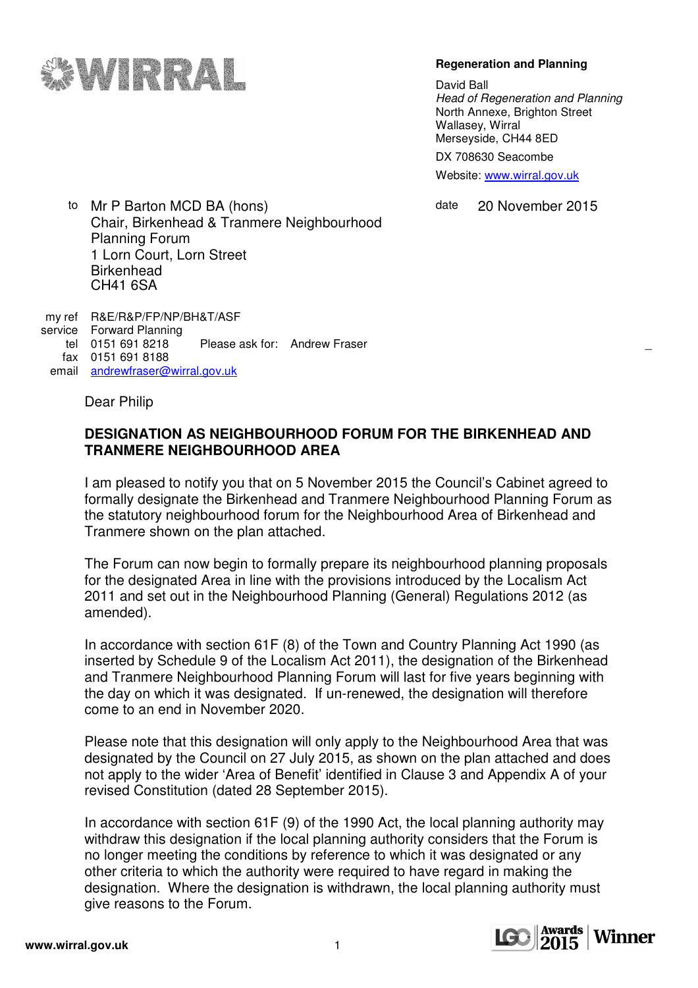

## **Regeneration and Planning**

David Ball Head of Regeneration and Planning North Annexe, Brighton Street Wallasey, Wirral Merseyside, CH44 8ED DX 708630 Seacombe

Website: www.wirral.gov.uk

date 20 November 2015

to Mr P Barton MCD BA (hons) Chair, Birkenhead & Tranmere Neighbourhood Planning Forum 1 Lorn Court, Lorn Street **Birkenhead** CH41 6SA

my ref R&E/R&P/FP/NP/BH&T/ASF service Forward Planning<br>tel 0151 691 8218 Please ask for: Andrew Fraser fax 0151 691 8188 email andrewfraser@wirral.gov.uk

Dear Philip

## **DESIGNATION AS NEIGHBOURHOOD FORUM FOR THE BIRKENHEAD AND TRANMERE NEIGHBOURHOOD AREA**

I am pleased to notify you that on 5 November 2015 the Council's Cabinet agreed to formally designate the Birkenhead and Tranmere Neighbourhood Planning Forum as the statutory neighbourhood forum for the Neighbourhood Area of Birkenhead and Tranmere shown on the plan attached.

The Forum can now begin to formally prepare its neighbourhood planning proposals for the designated Area in line with the provisions introduced by the Localism Act 2011 and set out in the Neighbourhood Planning (General) Regulations 2012 (as amended).

In accordance with section 61F (8) of the Town and Country Planning Act 1990 (as inserted by Schedule 9 of the Localism Act 2011), the designation of the Birkenhead and Tranmere Neighbourhood Planning Forum will last for five years beginning with the day on which it was designated. If un-renewed, the designation will therefore come to an end in November 2020.

Please note that this designation will only apply to the Neighbourhood Area that was designated by the Council on 27 July 2015, as shown on the plan attached and does not apply to the wider 'Area of Benefit' identified in Clause 3 and Appendix A of your revised Constitution (dated 28 September 2015).

In accordance with section 61F (9) of the 1990 Act, the local planning authority may withdraw this designation if the local planning authority considers that the Forum is no longer meeting the conditions by reference to which it was designated or any other criteria to which the authority were required to have regard in making the designation. Where the designation is withdrawn, the local planning authority must give reasons to the Forum.